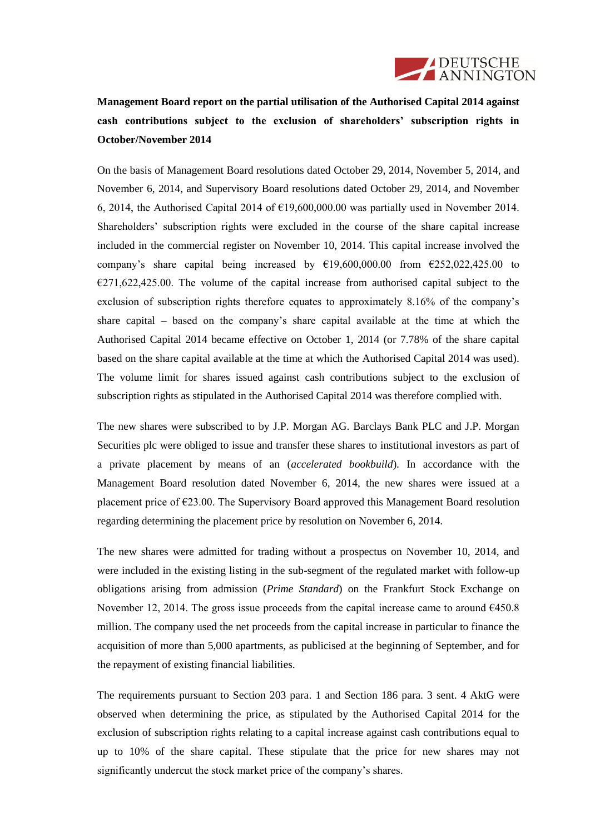

**Management Board report on the partial utilisation of the Authorised Capital 2014 against cash contributions subject to the exclusion of shareholders' subscription rights in October/November 2014**

On the basis of Management Board resolutions dated October 29, 2014, November 5, 2014, and November 6, 2014, and Supervisory Board resolutions dated October 29, 2014, and November 6, 2014, the Authorised Capital 2014 of  $£19,600,000.00$  was partially used in November 2014. Shareholders' subscription rights were excluded in the course of the share capital increase included in the commercial register on November 10, 2014. This capital increase involved the company's share capital being increased by  $\epsilon$ 19,600,000.00 from  $\epsilon$ 252,022,425.00 to  $E271,622,425.00$ . The volume of the capital increase from authorised capital subject to the exclusion of subscription rights therefore equates to approximately 8.16% of the company's share capital – based on the company's share capital available at the time at which the Authorised Capital 2014 became effective on October 1, 2014 (or 7.78% of the share capital based on the share capital available at the time at which the Authorised Capital 2014 was used). The volume limit for shares issued against cash contributions subject to the exclusion of subscription rights as stipulated in the Authorised Capital 2014 was therefore complied with.

The new shares were subscribed to by J.P. Morgan AG. Barclays Bank PLC and J.P. Morgan Securities plc were obliged to issue and transfer these shares to institutional investors as part of a private placement by means of an (*accelerated bookbuild*). In accordance with the Management Board resolution dated November 6, 2014, the new shares were issued at a placement price of  $\epsilon$ 23.00. The Supervisory Board approved this Management Board resolution regarding determining the placement price by resolution on November 6, 2014.

The new shares were admitted for trading without a prospectus on November 10, 2014, and were included in the existing listing in the sub-segment of the regulated market with follow-up obligations arising from admission (*Prime Standard*) on the Frankfurt Stock Exchange on November 12, 2014. The gross issue proceeds from the capital increase came to around  $6450.8$ million. The company used the net proceeds from the capital increase in particular to finance the acquisition of more than 5,000 apartments, as publicised at the beginning of September, and for the repayment of existing financial liabilities.

The requirements pursuant to Section 203 para. 1 and Section 186 para. 3 sent. 4 AktG were observed when determining the price, as stipulated by the Authorised Capital 2014 for the exclusion of subscription rights relating to a capital increase against cash contributions equal to up to 10% of the share capital. These stipulate that the price for new shares may not significantly undercut the stock market price of the company's shares.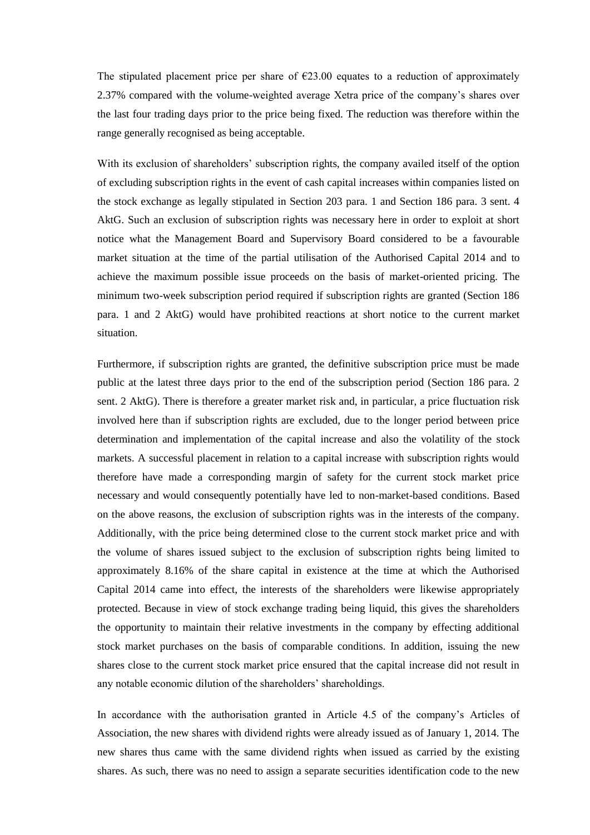The stipulated placement price per share of  $\epsilon$ 23.00 equates to a reduction of approximately 2.37% compared with the volume-weighted average Xetra price of the company's shares over the last four trading days prior to the price being fixed. The reduction was therefore within the range generally recognised as being acceptable.

With its exclusion of shareholders' subscription rights, the company availed itself of the option of excluding subscription rights in the event of cash capital increases within companies listed on the stock exchange as legally stipulated in Section 203 para. 1 and Section 186 para. 3 sent. 4 AktG. Such an exclusion of subscription rights was necessary here in order to exploit at short notice what the Management Board and Supervisory Board considered to be a favourable market situation at the time of the partial utilisation of the Authorised Capital 2014 and to achieve the maximum possible issue proceeds on the basis of market-oriented pricing. The minimum two-week subscription period required if subscription rights are granted (Section 186 para. 1 and 2 AktG) would have prohibited reactions at short notice to the current market situation.

Furthermore, if subscription rights are granted, the definitive subscription price must be made public at the latest three days prior to the end of the subscription period (Section 186 para. 2 sent. 2 AktG). There is therefore a greater market risk and, in particular, a price fluctuation risk involved here than if subscription rights are excluded, due to the longer period between price determination and implementation of the capital increase and also the volatility of the stock markets. A successful placement in relation to a capital increase with subscription rights would therefore have made a corresponding margin of safety for the current stock market price necessary and would consequently potentially have led to non-market-based conditions. Based on the above reasons, the exclusion of subscription rights was in the interests of the company. Additionally, with the price being determined close to the current stock market price and with the volume of shares issued subject to the exclusion of subscription rights being limited to approximately 8.16% of the share capital in existence at the time at which the Authorised Capital 2014 came into effect, the interests of the shareholders were likewise appropriately protected. Because in view of stock exchange trading being liquid, this gives the shareholders the opportunity to maintain their relative investments in the company by effecting additional stock market purchases on the basis of comparable conditions. In addition, issuing the new shares close to the current stock market price ensured that the capital increase did not result in any notable economic dilution of the shareholders' shareholdings.

In accordance with the authorisation granted in Article 4.5 of the company's Articles of Association, the new shares with dividend rights were already issued as of January 1, 2014. The new shares thus came with the same dividend rights when issued as carried by the existing shares. As such, there was no need to assign a separate securities identification code to the new